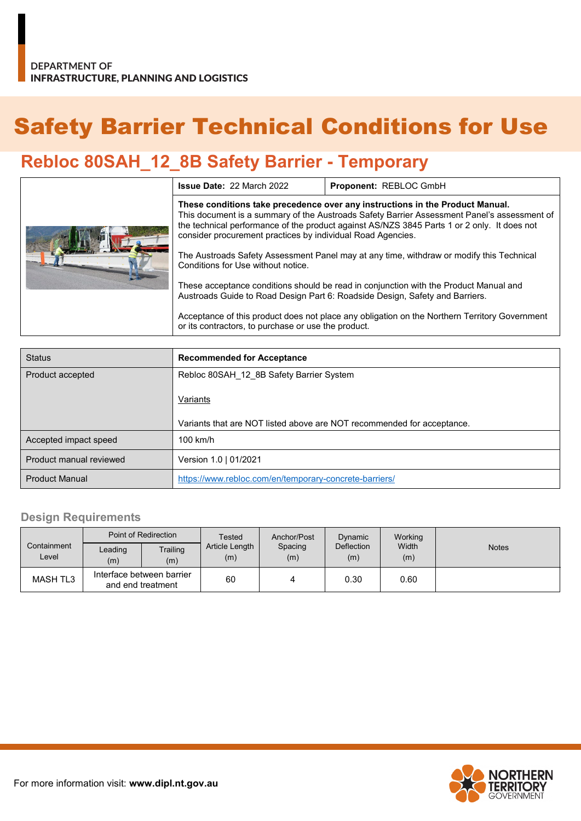# Safety Barrier Technical Conditions for Use

## **Rebloc 80SAH\_12\_8B Safety Barrier - Temporary**

|  | <b>Issue Date: 22 March 2022</b>                                                                                                                                                                                                                                                                                                           | Proponent: REBLOC GmbH |  |  |  |
|--|--------------------------------------------------------------------------------------------------------------------------------------------------------------------------------------------------------------------------------------------------------------------------------------------------------------------------------------------|------------------------|--|--|--|
|  | These conditions take precedence over any instructions in the Product Manual.<br>This document is a summary of the Austroads Safety Barrier Assessment Panel's assessment of<br>the technical performance of the product against AS/NZS 3845 Parts 1 or 2 only. It does not<br>consider procurement practices by individual Road Agencies. |                        |  |  |  |
|  | The Austroads Safety Assessment Panel may at any time, withdraw or modify this Technical<br>Conditions for Use without notice.                                                                                                                                                                                                             |                        |  |  |  |
|  | These acceptance conditions should be read in conjunction with the Product Manual and<br>Austroads Guide to Road Design Part 6: Roadside Design, Safety and Barriers.                                                                                                                                                                      |                        |  |  |  |
|  | Acceptance of this product does not place any obligation on the Northern Territory Government<br>or its contractors, to purchase or use the product.                                                                                                                                                                                       |                        |  |  |  |

| <b>Status</b>           | <b>Recommended for Acceptance</b>                                      |  |
|-------------------------|------------------------------------------------------------------------|--|
| Product accepted        | Rebloc 80SAH 12 8B Safety Barrier System                               |  |
|                         | Variants                                                               |  |
|                         | Variants that are NOT listed above are NOT recommended for acceptance. |  |
| Accepted impact speed   | $100$ km/h                                                             |  |
| Product manual reviewed | Version 1.0   01/2021                                                  |  |
| <b>Product Manual</b>   | https://www.rebloc.com/en/temporary-concrete-barriers/                 |  |

#### **Design Requirements**

|                      | Point of Redirection                           |                 | Tested                | Anchor/Post    | Dynamic           | Working      |              |
|----------------------|------------------------------------------------|-----------------|-----------------------|----------------|-------------------|--------------|--------------|
| Containment<br>Level | Leading<br>(m)                                 | Trailing<br>(m) | Article Length<br>(m) | Spacing<br>(m) | Deflection<br>(m) | Width<br>(m) | <b>Notes</b> |
| MASH TL3             | Interface between barrier<br>and end treatment |                 | 60                    | 4              | 0.30              | 0.60         |              |